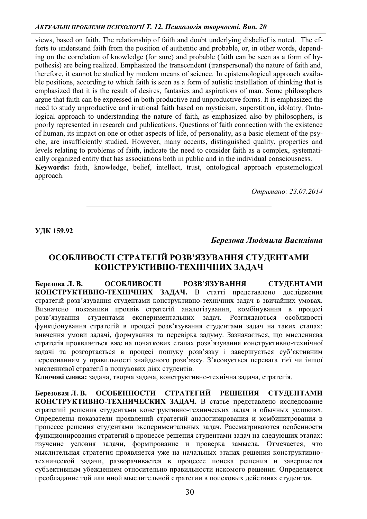#### *ȺɄɌɍȺɅɖɇȱɉɊɈȻɅȿɆɂɉɋɂɏɈɅɈȽȱȲ Ɍ ɉɫɢɯɨɥɨɝɿɹɬɜɨɪɱɨɫɬɿȼɢɩ20*

views, based on faith. The relationship of faith and doubt underlying disbelief is noted. The efforts to understand faith from the position of authentic and probable, or, in other words, depending on the correlation of knowledge (for sure) and probable (faith can be seen as a form of hypothesis) are being realized. Emphasized the transcendent (transpersonal) the nature of faith and, therefore, it cannot be studied by modern means of science. In epistemological approach available positions, according to which faith is seen as a form of autistic installation of thinking that is emphasized that it is the result of desires, fantasies and aspirations of man. Some philosophers argue that faith can be expressed in both productive and unproductive forms. It is emphasized the need to study unproductive and irrational faith based on mysticism, superstition, idolatry. Ontological approach to understanding the nature of faith, as emphasized also by philosophers, is poorly represented in research and publications. Questions of faith connection with the existence of human, its impact on one or other aspects of life, of personality, as a basic element of the psyche, are insufficiently studied. However, many accents, distinguished quality, properties and levels relating to problems of faith, indicate the need to consider faith as a complex, systematically organized entity that has associations both in public and in the individual consciousness. **Keywords:** faith, knowledge, belief, intellect, trust, ontological approach epistemological approach.

*Ɉɬɪɢɦɚɧɨ: 23.07.2014* 

**ɍȾɄ159.92** 

### Березова Людмила Василівна

# ОСОБЛИВОСТІ СТРАТЕГІЙ РОЗВ'ЯЗУВАННЯ СТУДЕНТАМИ **ɄɈɇɋɌɊɍɄɌɂȼɇɈ-ɌȿɏɇȱɑɇɂɏɁȺȾȺɑ**

Березова Л. В. ОСОБЛИВОСТІ РОЗВ'ЯЗУВАННЯ СТУДЕНТАМИ КОНСТРУКТИВНО-ТЕХНІЧНИХ ЗАДАЧ. В статті представлено дослідження стратегій розв'язування студентами конструктивно-технічних задач в звичайних умовах. Визначено показники проявів стратегій аналогізування, комбінування в процесі розв'язування студентами експериментальних задач. Розглядаються особливості функціонування стратегій в процесі розв'язування студентами задач на таких етапах: вивчення умови задачі, формування та перевірка задуму. Зазначається, що мисленнєва стратегія проявляється вже на початкових етапах розв'язування конструктивно-технічної задачі та розгортається в процесі пошуку розв'язку і завершується суб'єктивним переконанням у правильності знайденого розв'язку. З'ясовується перевага тієї чи іншої мисленнєвої стратегії в пошукових діях студентів.

Ключові слова: задача, творча задача, конструктивно-технічна задача, стратегія.

Березовая Л. В. ОСОБЕННОСТИ СТРАТЕГИЙ РЕШЕНИЯ СТУДЕНТАМИ КОНСТРУКТИВНО-ТЕХНИЧЕСКИХ ЗАДАЧ. В статье представлено исследование стратегий решения студентами конструктивно-технических задач в обычных условиях. Определены показатели проявлений стратегий аналогизирования и комбинитрования в процессе решения студентами экспериментальных задач. Рассматриваются особенности функционирования стратегий в процессе решения студентами задач на следующих этапах: изучение условия задачи, формирование и проверка замысла. Отмечается, что мыслительная стратегия проявляется уже на начальных этапах решения конструктивнотехнической задачи, разворачивается в процессе поиска решения и завершается субъективным убеждением относительно правильности искомого решения. Определяется преобладание той или иной мыслительной стратегии в поисковых действиях студентов.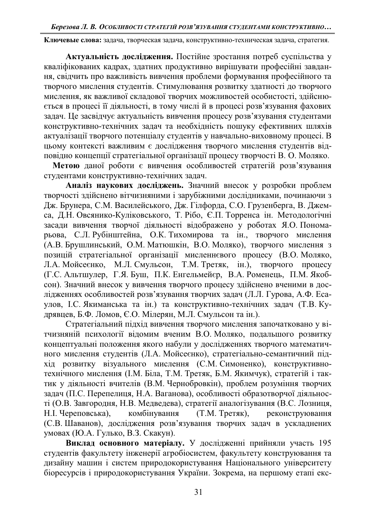Ключевые слова: задача, творческая задача, конструктивно-техническая задача, стратегия.

Актуальність дослідження. Постійне зростання потреб суспільства у кваліфікованих кадрах, здатних продуктивно вирішувати професійні завдання, свідчить про важливість вивчення проблеми формування професійного та творчого мислення студентів. Стимулювання розвитку здатності до творчого мислення, як важливої складової творчих можливостей особистості, здійснюється в процесі її діяльності, в тому числі й в процесі розв'язування фахових задач. Це засвідчує актуальність вивчення процесу розв'язування студентами конструктивно-технічних задач та необхідність пошуку ефективних шляхів актуалізації творчого потенціалу студентів у навчально-виховному процесі. В цьому контексті важливим є дослідження творчого мислення студентів відповідно концепції стратегіальної організації процесу творчості В. О. Моляко.

Метою даної роботи є вивчення особливостей стратегій розв'язування студентами конструктивно-технічних задач.

Аналіз наукових досліджень. Значний внесок у розробки проблем творчості здійснено вітчизняними і зарубіжними дослідниками, починаючи з Дж. Брунера, С.М. Василейського, Дж. Гілфорда, С.О. Грузенберга, В. Джемса, Д.Н. Овсянико-Куліковського, Т. Рібо, Є.П. Торренса ін. Методологічні засади вивчення творчої діяльності відображено у роботах Я.О. Пономарьова, С.Л. Рубінштейна, О.К. Тихомирова та ін., творчого мислення (А.В. Брушлинський, О.М. Матюшкін, В.О. Моляко), творчого мислення з позицій стратегіальної організації мисленнєвого процесу (В.О. Моляко, Л.А. Мойсеєнко, М.Л. Смульсон, Т.М. Третяк, ін.), творчого процесу Л.А. Мойсеєнко, М.Л. Смульсон, Т.М. Третяк, ін.), творчого процесу (Г.С. Альтшулер, Г.Я. Буш, П.К. Енгельмейєр, В.А. Роменець, П.М. Якобсон). Значний внесок у вивчення творчого процесу здійснено вченими в дослідженнях особливостей розв'язування творчих задач (Л.Л. Гурова, А.Ф. Есаулов, І.С. Якиманська та ін.) та конструктивно-технічних задач (Т.В. Кудрявцев, Б.Ф. Ломов, Є.О. Мілерян, М.Л. Смульсон та ін.).

Стратегіальний підхід вивчення творчого мислення започатковано у вітчизняній психології відомим вченим В.О. Моляко, подальшого розвитку концептуальні положення якого набули у дослідженнях творчого математичного мислення студентів (Л.А. Мойсеєнко), стратегіально-семантичний підхід розвитку візуального мислення (С.М. Симоненко), конструктивнотехнічного мислення (І.М. Біла, Т.М. Третяк, Б.М. Якимчук), стратегій і тактик у діяльності вчителів (В.М. Чернобровкін), проблем розуміння творчих задач (П.С. Перепелиця, Н.А. Ваганова), особливості образотворчої діяльності (О.В. Завгородня, Н.В. Медведева), стратегії аналогізування (В.С. Лозниця, Н.І. Череповська), комбінування (Т.М. Третяк), реконструювання Н. Череповська), комбінування (Т.М. Третяк), реконструювання (С.В. Шаванов), дослідження розв'язування творчих задач в ускладнених умовах (Ю.А. Гулько, В.З. Скакун).

Виклад основного матеріалу. У дослідженні прийняли участь 195 студентів факультету інженерії агробіосистем, факультету конструювання та дизайну машин і систем природокористування Національного університету біоресурсів і природокористування України. Зокрема, на першому етапі екс-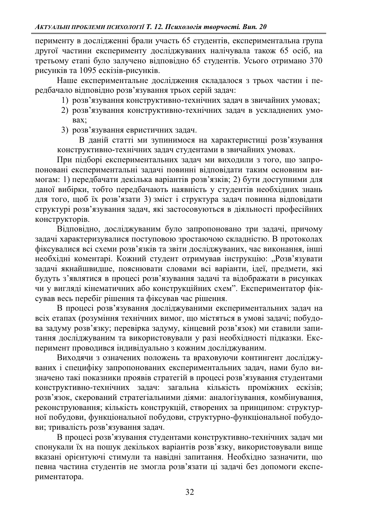перименту в дослідженні брали участь 65 студентів, експериментальна група другої частини експерименту досліджуваних налічувала також 65 осіб, на третьому етапі було залучено відповідно 65 студентів. Усього отримано 370 рисунків та 1095 ескізів-рисунків.

Наше експериментальне дослідження складалося з трьох частин і передбачало відповідно розв'язування трьох серій задач:

- 1) розв'язування конструктивно-технічних задач в звичайних умовах;
- 2) розв'язування конструктивно-технічних задач в ускладнених умоbax:
- 3) розв'язування евристичних задач.

В даній статті ми зупинимося на характеристиці розв'язування конструктивно-технічних задач студентами в звичайних умовах.

При підборі експериментальних задач ми виходили з того, що запропоновані експериментальні задачі повинні відповідати таким основним вимогам: 1) передбачати декілька варіантів розв'язків; 2) бути доступними для даної вибірки, тобто передбачають наявність у студентів необхідних знань для того, щоб їх розв'язати 3) зміст і структура задач повинна відповідати структурі розв'язування задач, які застосовуються в діяльності професійних KOHCTDVKTOPIB.

ȼɿɞɩɨɜɿɞɧɨ ɞɨɫɥɿɞɠɭɜɚɧɢɦ ɛɭɥɨ ɡɚɩɪɨɩɨɧɨɜɚɧɨ ɬɪɢ ɡɚɞɚɱɿ ɩɪɢɱɨɦɭ задачі характеризувалися поступовою зростаючою складністю. В протоколах фіксувалися всі схеми розв'язків та звіти досліджуваних, час виконання, інші необхідні коментарі. Кожний студент отримував інструкцію: "Розв'язувати задачі якнайшвидше, пояснювати словами всі варіанти, ідеї, предмети, які будуть з'являтися в процесі розв'язування задачі та відображати в рисунках чи у вигляді кінематичних або конструкційних схем". Експериментатор фіксував весь перебіг рішення та фіксував час рішення.

В процесі розв'язування досліджуваними експериментальних задач на всіх етапах (розуміння технічних вимог, що містяться в умові задачі; побудова задуму розв'язку; перевірка задуму, кінцевий розв'язок) ми ставили запитання досліджуваним та використовували у разі необхідності підказки. Експеримент проводився індивідуально з кожним досліджуваним.

Виходячи з означених положень та враховуючи контингент досліджуваних і специфіку запропонованих експериментальних задач, нами було визначено такі показники проявів стратегій в процесі розв'язування студентами конструктивно-технічних задач: загальна кількість проміжних ескізів; розв'язок, скерований стратегіальними діями: аналогізування, комбінування, реконструювання; кількість конструкцій, створених за принципом: структурної побудови, функціональної побудови, структурно-функціональної побудови; тривалість розв'язування задач.

В процесі розв'язування студентами конструктивно-технічних задач ми спонукали їх на пошук декількох варіантів розв'язку, використовували вище вказані орієнтуючі стимули та навідні запитання. Необхідно зазначити, що певна частина студентів не змогла розв'язати ці задачі без допомоги експериментатора.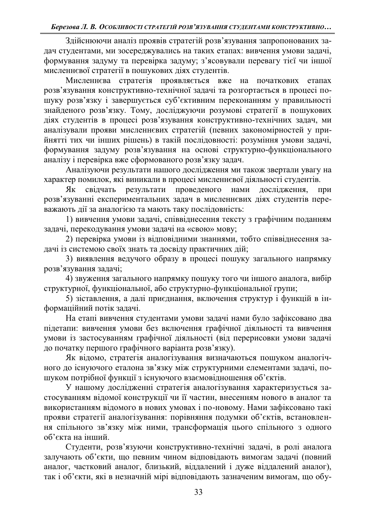Здійснюючи аналіз проявів стратегій розв'язування запропонованих задач студентами, ми зосереджувались на таких етапах: вивчення умови задачі, формування задуму та перевірка задуму; з'ясовували перевагу тієї чи іншої мисленнєвої стратегії в пошукових діях студентів.

Мисленнєва стратегія проявляється вже на початкових етапах розв'язування конструктивно-технічної задачі та розгортається в процесі пошуку розв'язку і завершується суб'єктивним переконанням у правильності знайденого розв'язку. Тому, досліджуючи розумові стратегії в пошукових діях студентів в процесі розв'язування конструктивно-технічних задач, ми аналізували прояви мисленнєвих стратегій (певних закономірностей у прийнятті тих чи інших рішень) в такій послідовності: розуміння умови задачі, формування задуму розв'язування на основі структурно-функціонального аналізу і перевірка вже сформованого розв'язку задач.

Аналізуючи результати нашого дослідження ми також звертали увагу на характер помилок, які виникали в процесі мисленнєвої діяльності студентів.

Як свідчать результати проведеного нами дослідження, при розв'язуванні експериментальних задач в мисленнєвих діях студентів переважають дії за аналогією та мають таку послідовність:

1) вивчення умови задачі, співвіднесення тексту з графічним поданням задачі, перекодування умови задачі на «свою» мову;

2) перевірка умови із відповідними знаннями, тобто співвіднесення задачі із системою своїх знать та досвіду практичних дій;

3) виявлення ведучого образу в процесі пошуку загального напрямку розв'язування задачі;

4) звуження загального напрямку пошуку того чи іншого аналога, вибір структурної, функціональної, або структурно-функціональної групи;

5) зіставлення, а далі приєднання, включення структур і функцій в інформаційний потік задачі.

На етапі вивчення студентами умови задачі нами було зафіксовано два підетапи: вивчення умови без включення графічної діяльності та вивчення умови із застосуванням графічної діяльності (від перерисовки умови задачі до початку першого графічного варіанта розв'язку).

Як відомо, стратегія аналогізування визначаються пошуком аналогічного до існуючого еталона зв'язку між структурними елементами задачі, пошуком потрібної функції з існуючого взаємовідношення об'єктів.

У нашому дослідженні стратегія аналогізування характеризується застосуванням відомої конструкції чи її частин, внесенням нового в аналог та використанням відомого в нових умовах і по-новому. Нами зафіксовано такі прояви стратегії аналогізування: порівняння подумки об'єктів, встановлення спільного зв'язку між ними, трансформація цього спільного з одного об'єкта на інший.

Студенти, розв'язуючи конструктивно-технічні задачі, в ролі аналога залучають об'єкти, що певним чином відповідають вимогам задачі (повний аналог, частковий аналог, близький, віддалений і дуже віддалений аналог), так і об'єкти, які в незначній мірі відповідають зазначеним вимогам, що обу-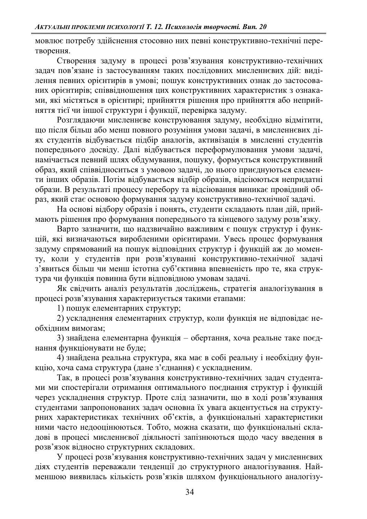мовлює потребу здійснення стосовно них певні конструктивно-технічні перетворення.

Створення задуму в процесі розв'язування конструктивно-технічних задач пов'язане із застосуванням таких послідовних мисленнєвих дій: виділення певних орієнтирів в умові; пошук конструктивних ознак до застосованих орієнтирів; співвідношення цих конструктивних характеристик з ознаками, які містяться в орієнтирі; прийняття рішення про прийняття або неприйняття тієї чи іншої структури і функції, перевірка задуму.

Розглядаючи мисленневе конструювання задуму, необхідно відмітити, що після більш або менш повного розуміння умови задачі, в мисленнєвих діях студентів відбувається підбір аналогів, активізація в мисленні студентів попереднього досвіду. Далі відбувається переформулювання умови задачі, намічається певний шлях обдумування, пошуку, формується конструктивний образ, який співвідноситься з умовою задачі, до нього приєднуються елементи інших образів. Потім відбувається відбір образів, відсіюються непридатні образи. В результаті процесу перебору та відсіювання виникає провідний образ, який стає основою формування задуму конструктивно-технічної задачі.

На основі відбору образів і понять, студенти складають план дій, приймають рішення про формування попереднього та кінцевого задуму розв'язку.

ки соверзи и постранить и постранить и построй и по надзвичайно важливим с пошук структур і функцій, які визначаються виробленими орієнтирами. Увесь процес формування задуму спрямований на пошук відповідних структур і функцій аж до моменту, коли у студентів при розв'язуванні конструктивно-технічної задачі 3'явиться більш чи менш істотна суб'єктивна впевненість про те, яка структура чи функція повинна бути відповідною умовам задачі.

Як свідчить аналіз результатів досліджень, стратегія аналогізування в процесі розв'язування характеризується такими етапами:

 $1)$  пошук елементарних структур;

2) ускладнення елементарних структур, коли функція не відповідає необхідним вимогам;

3) знайдена елементарна функція – обертання, хоча реальне таке поєднання функціонувати не буде;

4) знайдена реальна структура, яка має в собі реальну і необхідну функцію, хоча сама структура (дане з'єднання) є ускладненим.

Так, в процесі розв'язування конструктивно-технічних задач студентами ми спостерігали отримання оптимального поєднання структур і функцій через ускладнення структур. Проте слід зазначити, що в ході розв'язування студентами запропонованих задач основна їх увага акцентується на структурних характеристиках технічних об'єктів, а функціональні характеристики ними часто недооцінюються. Тобто, можна сказати, що функціональні складові в процесі мисленнєвої діяльності запізнюються щодо часу введення в розв'язок відносно структурних складових.

У процесі розв'язування конструктивно-технічних задач у мисленнєвих діях студентів переважали тенденції до структурного аналогізування. Найменшою виявилась кількість розв'язків шляхом функціонального аналогізу-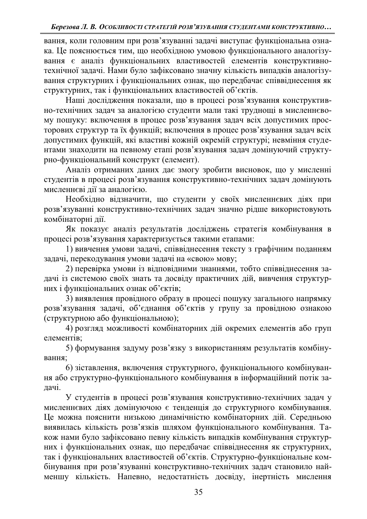вання, коли головним при розв'язуванні задачі виступає функціональна ознака. Це пояснюється тим, що необхідною умовою функціонального аналогізування є аналіз функціональних властивостей елементів конструктивнотехнічної задачі. Нами було зафіксовано значну кількість випадків аналогізування структурних і функціональних ознак, що передбачає співвіднесення як структурних, так і функціональних властивостей об'єктів.

Наші дослідження показали, що в процесі розв'язування конструктивно-технічних задач за аналогією студенти мали такі труднощі в мисленнєвому пошуку: включення в процес розв'язування задач всіх допустимих просторових структур та їх функцій; включення в процес розв'язування задач всіх допустимих функцій, які властиві кожній окремій структурі; невміння студентами знаходити на певному етапі розв'язування задач домінуючий структурно-функціональний конструкт (елемент).

Аналіз отриманих даних дає змогу зробити висновок, що у мисленні студентів в процесі розв'язування конструктивно-технічних задач домінують мисленнєві дії за аналогією.

Необхідно відзначити, що студенти у своїх мисленнєвих діях при розв'язуванні конструктивно-технічних задач значно рідше використовують комбінаторні дії.

Як показує аналіз результатів досліджень стратегія комбінування в процесі розв'язування характеризується такими етапами:

1) вивчення умови задачі, співвіднесення тексту з графічним поданням задачі, перекодування умови задачі на «свою» мову;

2) перевірка умови із відповідними знаннями, тобто співвіднесення задачі із системою своїх знать та досвіду практичних дій, вивчення структурних і функціональних ознак об'єктів;

3) виявлення провідного образу в процесі пошуку загального напрямку розв'язування задачі, об'єднання об'єктів у групу за провідною ознакою (структурною або функціональною);

4) розгляд можливості комбінаторних дій окремих елементів або груп елементів;

5) формування задуму розв'язку з використанням результатів комбінування:

6) зіставлення, включення структурного, функціонального комбінування або структурно-функціонального комбінування в інформаційний потік залачі.

У студентів в процесі розв'язування конструктивно-технічних задач у мисленнєвих діях домінуючою є тенденція до структурного комбінування. Це можна пояснити низькою динамічністю комбінаторних дій. Середньою виявилась кількість розв'язків шляхом функціонального комбінування. Також нами було зафіксовано певну кількість випадків комбінування структурних і функціональних ознак, що передбачає співвіднесення як структурних, так і функціональних властивостей об'єктів. Структурно-функціональне комбінування при розв'язуванні конструктивно-технічних задач становило найменшу кількість. Напевно, недостатність досвіду, інертність мислення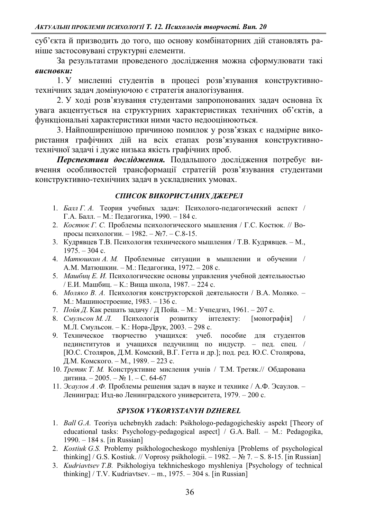суб'єкта й призводить до того, що основу комбінаторних дійстановлять раніше застосовувані структурні елементи.

За результатами проведеного дослідження можна сформулювати такі *ɜɢɫɧɨɜɤɢ*

1. У мисленні студентів в процесі розв'язування конструктивнотехнічних задач домінуючою є стратегія аналогізування.

2. У ході розв'язування студентами запропонованих задач основна їх увага акцентується на структурних характеристиках технічних об'єктів, а функціональні характеристики ними часто недооцінюються.

3. Найпоширенішою причиною помилок у розв'язках є надмірне використання графічних дій на всіх етапах розв'язування конструктивнотехнічної задачі і дуже низька якість графічних проб.

**Перспективи дослідження.** Подальшого дослідження потребує вивчення особливостей трансформації стратегій розв'язування студентами конструктивно-технічних залач в усклалнених умовах.

## СПИСОК ВИКОРИСТАНИХ ДЖЕРЕЛ

- 1. *Балл Г.А.* Теория учебных задач: Психолого-педагогический аспект /  $\Gamma.A.$  Балл. – М.: Педагогика, 1990. – 184 с.
- 2. *Костюк Г. С.* Проблемы психологического мышления / Г.С. Костюк. // Вопросы психологии.  $-1982. - N22. - C.8-15.$
- 3. Кудрявцев Т.В. Психология технического мышления / Т.В. Кудрявцев. М.,  $1975. - 304$  c.
- 4. *Матюшкин А. М.* Проблемные ситуации в мышлении и обучении / А.М. Матюшкин. - М.: Педагогика, 1972. - 208 с.
- 5. *Машбиц Е. И.* Психологические основы управления учебной деятельностью / Е.И. Машбиц. – К.: Вища школа, 1987. – 224 с.
- 6. *Моляко В. А.* Психология конструкторской деятельности / В.А. Моляко. М.: Машиностроение, 1983. – 136 с.
- 7. *Пойя Д*. Как решать задачу / Д Пойа. М.: Учпедгиз, 1961. 207 с.
- 8. *Смульсон М. Л.* Психологія розвитку інтелекту: [монографія] / М.Л. Смульсон. - К.: Нора-Друк, 2003. - 298 с.
- 9. Техническое творчество учащихся: учеб. пособие для студентов пединститутов и учащихся педучилищ по индустр. - пед. спец. / [Ю.С. Столяров, Д.М. Комский, В.Г. Гетта и др.]; под. ред. Ю.С. Столярова, Д.М. Комского. – М., 1989. – 223 с.
- 10. *Третяк Т. М.* Конструктивне мислення учнів / Т.М. Третяк.// Обдарована дитина. − 2005. – № 1. – С. 64-67
- 11. Эсаулов А.Ф. Проблемы решения задач в науке и технике / А.Ф. Эсаулов. -Ленинград: Изд-во Ленинградского университета, 1979. – 200 с.

### *SPYSOK VYKORYSTANYH DZHEREL*

- 1. *Ball G.A.* Teoriya uchebnykh zadach: Psikhologo-pedagogicheskiy aspekt [Theory of educational tasks: Psychology-pedagogical aspect  $\sim$  G.A. Ball.  $-$  M.: Pedagogika, 1990. ± 184 s. [in Russian]
- 2. *Kostiuk G.S.* Problemy psikhologocheskogo myshleniya [Problems of psychological thinking] / G.S. Kostiuk. // Voprosy psikhologii.  $-1982. - N$  7.  $-$  S. 8-15. [in Russian]
- 3. *Kudriavtsev T.B.* Psikhologiya tekhnicheskogo myshleniya [Psychology of technical thinking] / T.V. Kudriavtsev.  $-$  m., 1975.  $-$  304 s. [in Russian]